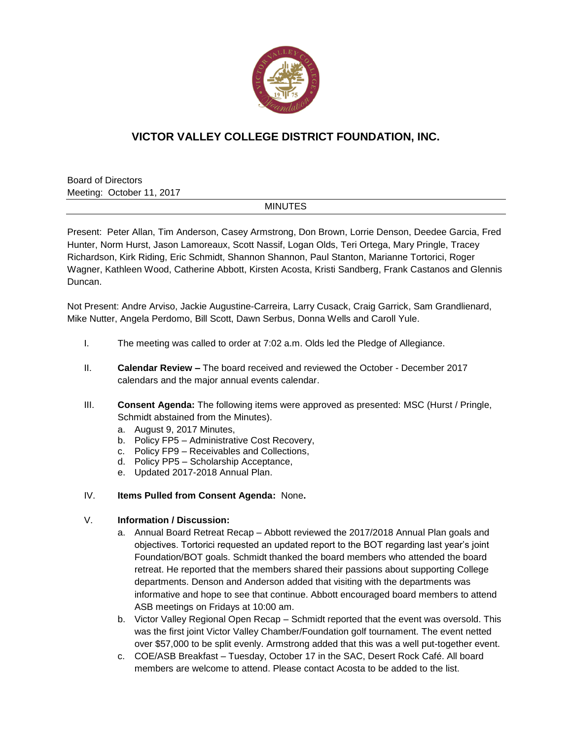

# **VICTOR VALLEY COLLEGE DISTRICT FOUNDATION, INC.**

Board of Directors Meeting: October 11, 2017

### **MINUTES**

Present: Peter Allan, Tim Anderson, Casey Armstrong, Don Brown, Lorrie Denson, Deedee Garcia, Fred Hunter, Norm Hurst, Jason Lamoreaux, Scott Nassif, Logan Olds, Teri Ortega, Mary Pringle, Tracey Richardson, Kirk Riding, Eric Schmidt, Shannon Shannon, Paul Stanton, Marianne Tortorici, Roger Wagner, Kathleen Wood, Catherine Abbott, Kirsten Acosta, Kristi Sandberg, Frank Castanos and Glennis Duncan.

Not Present: Andre Arviso, Jackie Augustine-Carreira, Larry Cusack, Craig Garrick, Sam Grandlienard, Mike Nutter, Angela Perdomo, Bill Scott, Dawn Serbus, Donna Wells and Caroll Yule.

- I. The meeting was called to order at 7:02 a.m. Olds led the Pledge of Allegiance.
- II. **Calendar Review –** The board received and reviewed the October December 2017 calendars and the major annual events calendar.
- III. **Consent Agenda:** The following items were approved as presented: MSC (Hurst / Pringle, Schmidt abstained from the Minutes).
	- a. August 9, 2017 Minutes,
	- b. Policy FP5 Administrative Cost Recovery,
	- c. Policy FP9 Receivables and Collections,
	- d. Policy PP5 Scholarship Acceptance,
	- e. Updated 2017-2018 Annual Plan.

### IV. **Items Pulled from Consent Agenda:** None**.**

### V. **Information / Discussion:**

- a. Annual Board Retreat Recap Abbott reviewed the 2017/2018 Annual Plan goals and objectives. Tortorici requested an updated report to the BOT regarding last year's joint Foundation/BOT goals. Schmidt thanked the board members who attended the board retreat. He reported that the members shared their passions about supporting College departments. Denson and Anderson added that visiting with the departments was informative and hope to see that continue. Abbott encouraged board members to attend ASB meetings on Fridays at 10:00 am.
- b. Victor Valley Regional Open Recap Schmidt reported that the event was oversold. This was the first joint Victor Valley Chamber/Foundation golf tournament. The event netted over \$57,000 to be split evenly. Armstrong added that this was a well put-together event.
- c. COE/ASB Breakfast Tuesday, October 17 in the SAC, Desert Rock Café. All board members are welcome to attend. Please contact Acosta to be added to the list.